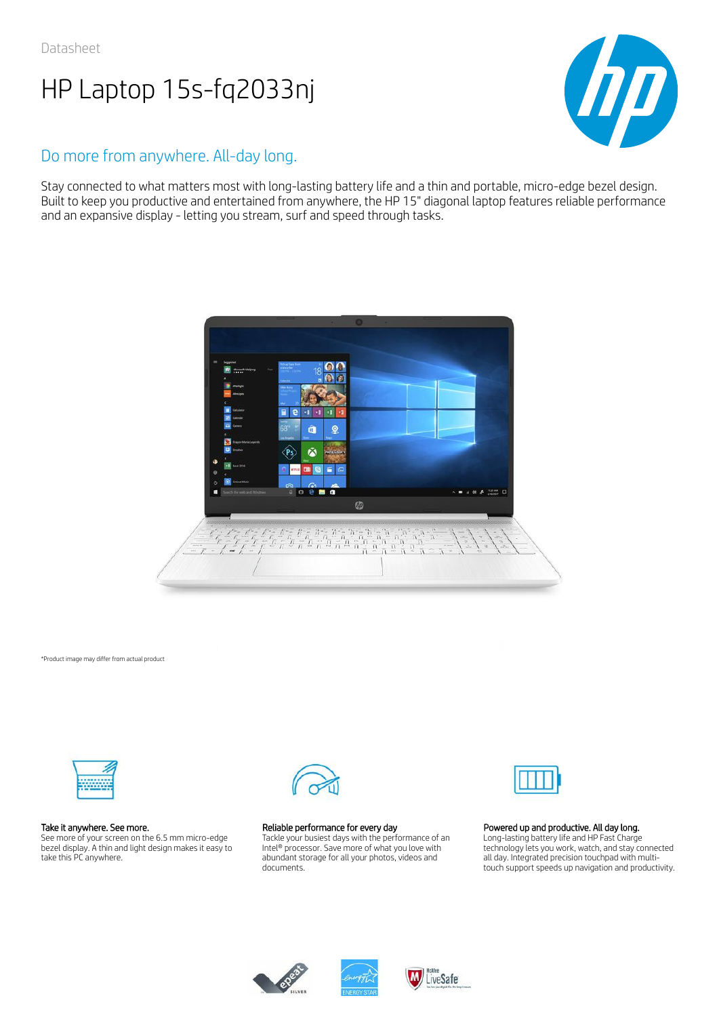

## Do more from anywhere. All-day long.

Stay connected to what matters most with long-lasting battery life and a thin and portable, micro-edge bezel design. Built to keep you productive and entertained from anywhere, the HP 15" diagonal laptop features reliable performance and an expansive display - letting you stream, surf and speed through tasks.



\*Product image may differ from actual product



## Take it anywhere. See more.

See more of your screen on the 6.5 mm micro-edge bezel display. A thin and light design makes it easy to take this PC anywhere.



## Reliable performance for every day

Tackle your busiest days with the performance of an Intel® processor. Save more of what you love with abundant storage for all your photos, videos and documents.



## Powered up and productive. All day long.

Long-lasting battery life and HP Fast Charge technology lets you work, watch, and stay connected all day. Integrated precision touchpad with multitouch support speeds up navigation and productivity.





LiveSafe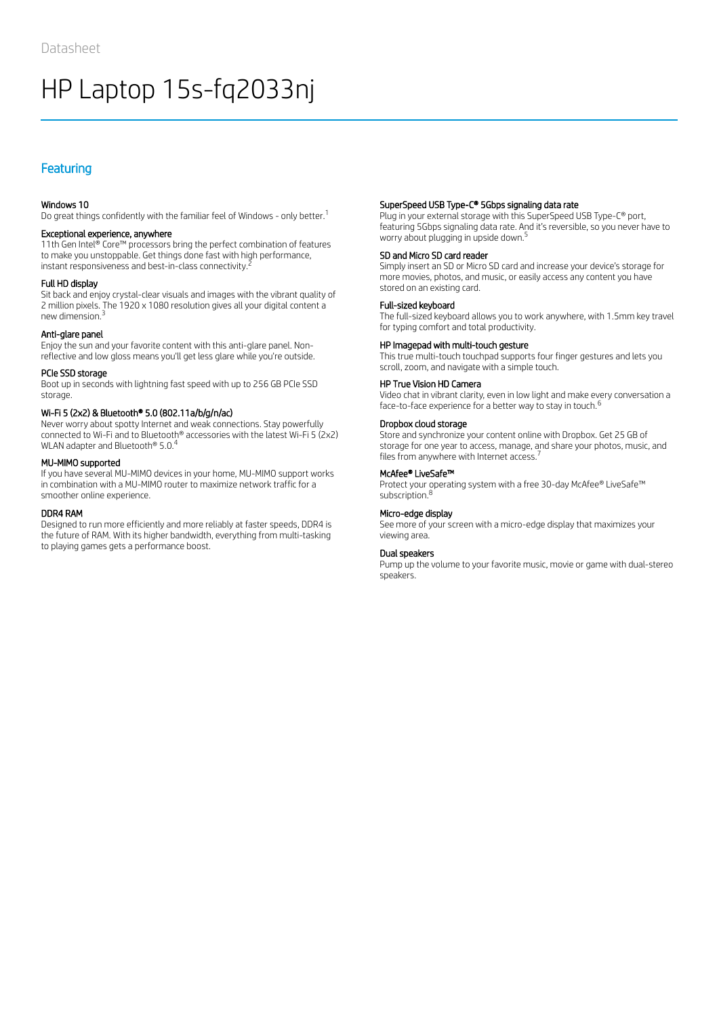## Featuring

## Windows 10

Do great things confidently with the familiar feel of Windows - only better.<sup>1</sup>

## Exceptional experience, anywhere

11th Gen Intel® Core™ processors bring the perfect combination of features to make you unstoppable. Get things done fast with high performance, instant responsiveness and best-in-class connectivity.  $^{\bar{z}}$ 

## Full HD display

Sit back and enjoy crystal-clear visuals and images with the vibrant quality of 2 million pixels. The 1920 x 1080 resolution gives all your digital content a new dimension. 3

## Anti-glare panel

Enjoy the sun and your favorite content with this anti-glare panel. Nonreflective and low gloss means you'll get less glare while you're outside.

## PCIe SSD storage

Boot up in seconds with lightning fast speed with up to 256 GB PCIe SSD storage.

## Wi-Fi 5 (2x2) & Bluetooth® 5.0 (802.11a/b/g/n/ac)

Never worry about spotty Internet and weak connections. Stay powerfully connected to Wi-Fi and to Bluetooth® accessories with the latest Wi-Fi 5 (2x2) WLAN adapter and Bluetooth® 5.0.<sup>4</sup>

#### MU-MIMO supported

If you have several MU-MIMO devices in your home, MU-MIMO support works in combination with a MU-MIMO router to maximize network traffic for a smoother online experience.

### DDR4 RAM

Designed to run more efficiently and more reliably at faster speeds, DDR4 is the future of RAM. With its higher bandwidth, everything from multi-tasking to playing games gets a performance boost.

## SuperSpeed USB Type-C® 5Gbps signaling data rate

Plug in your external storage with this SuperSpeed USB Type-C® port, featuring 5Gbps signaling data rate. And it's reversible, so you never have to worry about plugging in upside down. 5

#### SD and Micro SD card reader

Simply insert an SD or Micro SD card and increase your device's storage for more movies, photos, and music, or easily access any content you have stored on an existing card.

#### Full-sized keyboard

The full-sized keyboard allows you to work anywhere, with 1.5mm key travel for typing comfort and total productivity.

#### HP Imagepad with multi-touch gesture

This true multi-touch touchpad supports four finger gestures and lets you scroll, zoom, and navigate with a simple touch.

## HP True Vision HD Camera

Video chat in vibrant clarity, even in low light and make every conversation a face-to-face experience for a better way to stay in touch.<sup>6</sup>

## Dropbox cloud storage

Store and synchronize your content online with Dropbox. Get 25 GB of storage for one year to access, manage, and share your photos, music, and files from anywhere with Internet access.<sup>7</sup>

#### McAfee® LiveSafe™

Protect your operating system with a free 30-day McAfee® LiveSafe™ subscription.<sup>8</sup>

## Micro-edge display

See more of your screen with a micro-edge display that maximizes your viewing area.

## Dual speakers

Pump up the volume to your favorite music, movie or game with dual-stereo speakers.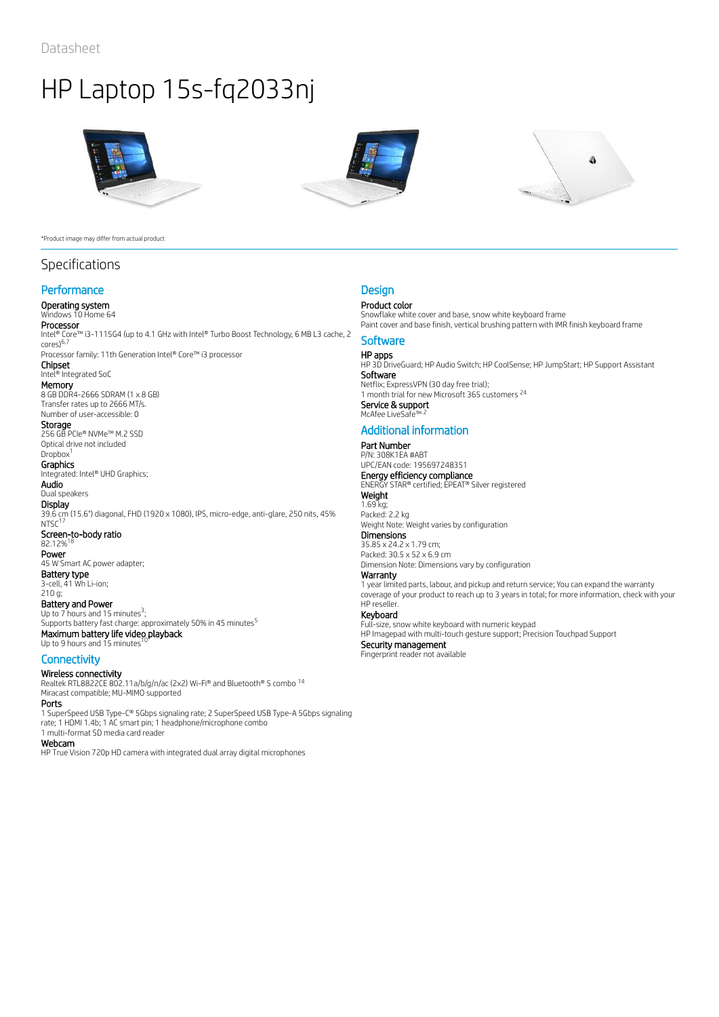

#### \*Product image may differ from actual product

## Specifications

## **Performance**

## Operating system

# Windows 10 Home 64

**Processor**<br>Intel® Core™ i3-1115G4 (up to 4.1 GHz with Intel® Turbo Boost Technology, 6 MB L3 cache, 2

cores) 6,7 Processor family: 11th Generation Intel® Core™ i3 processor Chipset

## Intel® Integrated SoC

**Memory**<br>8 GB DDR4-2666 SDRAM (1 x 8 GB) Transfer rates up to 2666 MT/s.

#### Number of user-accessible: 0 **Storage**

256 GB PCIe® NVMe™ M.2 SSD Optical drive not included

#### Dropbox<sup>1</sup> **Graphics**

Integrated: Intel® UHD Graphics; Audio

Dual speakers

**Display** 39.6 cm (15.6") diagonal, FHD (1920 x 1080), IPS, micro-edge, anti-glare, 250 nits, 45%  $NTSC<sup>17</sup>$ Screen-to-body ratio<br>82.12%<sup>18</sup> 82.12% Power 45 W Smart AC power adapter; Battery type

3-cell, 41 Wh Li-ion; 210 g; Battery and Power Up to  $7$  hours and 15 minutes<sup>3</sup>;

Supports battery fast charge: approximately 50% in 45 minutes<sup>5</sup> Maximum battery life video playback<br>Un to 9 hours and 15 minutes <sup>10</sup> Up to 9 hours and 15 minutes

## **Connectivity**

Wireless connectivity Realtek RTL8822CE 802.11a/b/g/n/ac (2x2) Wi-Fi® and Bluetooth® 5 combo 14 Miracast compatible; MU-MIMO supported

## Ports

1 SuperSpeed USB Type-C® 5Gbps signaling rate; 2 SuperSpeed USB Type-A 5Gbps signaling rate; 1 HDMI 1.4b; 1 AC smart pin; 1 headphone/microphone combo 1 multi-format SD media card reader

#### Webcam

HP True Vision 720p HD camera with integrated dual array digital microphones





## **Design**

## Product color

Snowflake white cover and base, snow white keyboard frame Paint cover and base finish, vertical brushing pattern with IMR finish keyboard frame

## **Software**

**HP apps**<br>HP 3D DriveGuard; HP Audio Switch; HP CoolSense; HP JumpStart; HP Support Assistant Software Netflix; ExpressVPN (30 day free trial); 1 month trial for new Microsoft 365 customers<sup>24</sup> **Service & support<br>McAfee LiveSafe™ <sup>2</sup>** McAfee LiveSa

## Additional information

#### Part Number P/N: 308K1EA #ABT

UPC/EAN code: 195697248351 **Energy efficiency compliance**<br>ENERGY STAR® certified; EPEAT® Silver registered **Weight** 

## 1.69 kg;

Packed: 2.2 kg Weight Note: Weight varies by configuration

## **Dimensions**

35.85 x 24.2 x 1.79 cm; Packed: 30.5 x 52 x 6.9 cm Dimension Note: Dimensions vary by configuration

## Warranty

1 year limited parts, labour, and pickup and return service; You can expand the warranty coverage of your product to reach up to 3 years in total; for more information, check with your HP reseller.

## Keyboard

Full-size, snow white keyboard with numeric keypad HP Imagepad with multi-touch gesture support; Precision Touchpad Support

Security management Fingerprint reader not available